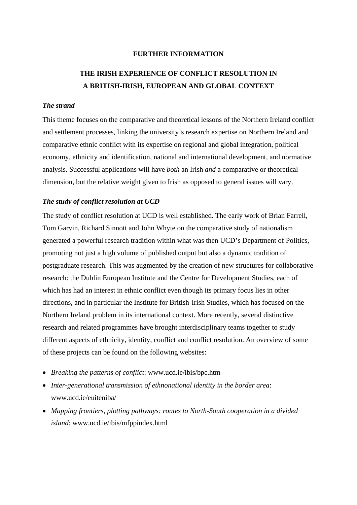## **FURTHER INFORMATION**

# **THE IRISH EXPERIENCE OF CONFLICT RESOLUTION IN A BRITISH-IRISH, EUROPEAN AND GLOBAL CONTEXT**

# *The strand*

This theme focuses on the comparative and theoretical lessons of the Northern Ireland conflict and settlement processes, linking the university's research expertise on Northern Ireland and comparative ethnic conflict with its expertise on regional and global integration, political economy, ethnicity and identification, national and international development, and normative analysis. Successful applications will have *both* an Irish *and* a comparative or theoretical dimension, but the relative weight given to Irish as opposed to general issues will vary.

## *The study of conflict resolution at UCD*

The study of conflict resolution at UCD is well established. The early work of Brian Farrell, Tom Garvin, Richard Sinnott and John Whyte on the comparative study of nationalism generated a powerful research tradition within what was then UCD's Department of Politics, promoting not just a high volume of published output but also a dynamic tradition of postgraduate research. This was augmented by the creation of new structures for collaborative research: the Dublin European Institute and the Centre for Development Studies, each of which has had an interest in ethnic conflict even though its primary focus lies in other directions, and in particular the Institute for British-Irish Studies, which has focused on the Northern Ireland problem in its international context. More recently, several distinctive research and related programmes have brought interdisciplinary teams together to study different aspects of ethnicity, identity, conflict and conflict resolution. An overview of some of these projects can be found on the following websites:

- *Breaking the patterns of conflict*: www.ucd.ie/ibis/bpc.htm
- *Inter-generational transmission of ethnonational identity in the border area*: www.ucd.ie/euiteniba/
- *Mapping frontiers, plotting pathways: routes to North-South cooperation in a divided island*: www.ucd.ie/ibis/mfppindex.html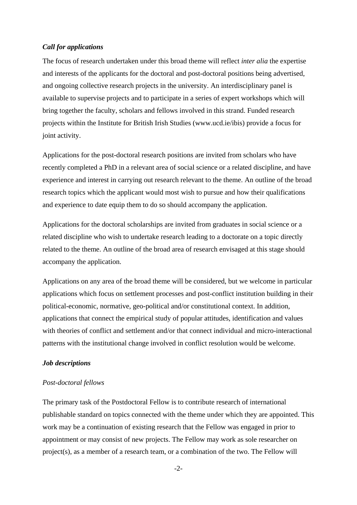### *Call for applications*

The focus of research undertaken under this broad theme will reflect *inter alia* the expertise and interests of the applicants for the doctoral and post-doctoral positions being advertised, and ongoing collective research projects in the university. An interdisciplinary panel is available to supervise projects and to participate in a series of expert workshops which will bring together the faculty, scholars and fellows involved in this strand. Funded research projects within the Institute for British Irish Studies (www.ucd.ie/ibis) provide a focus for joint activity.

Applications for the post-doctoral research positions are invited from scholars who have recently completed a PhD in a relevant area of social science or a related discipline, and have experience and interest in carrying out research relevant to the theme. An outline of the broad research topics which the applicant would most wish to pursue and how their qualifications and experience to date equip them to do so should accompany the application.

Applications for the doctoral scholarships are invited from graduates in social science or a related discipline who wish to undertake research leading to a doctorate on a topic directly related to the theme. An outline of the broad area of research envisaged at this stage should accompany the application.

Applications on any area of the broad theme will be considered, but we welcome in particular applications which focus on settlement processes and post-conflict institution building in their political-economic, normative, geo-political and/or constitutional context. In addition, applications that connect the empirical study of popular attitudes, identification and values with theories of conflict and settlement and/or that connect individual and micro-interactional patterns with the institutional change involved in conflict resolution would be welcome.

#### *Job descriptions*

### *Post-doctoral fellows*

The primary task of the Postdoctoral Fellow is to contribute research of international publishable standard on topics connected with the theme under which they are appointed. This work may be a continuation of existing research that the Fellow was engaged in prior to appointment or may consist of new projects. The Fellow may work as sole researcher on project(s), as a member of a research team, or a combination of the two. The Fellow will

-2-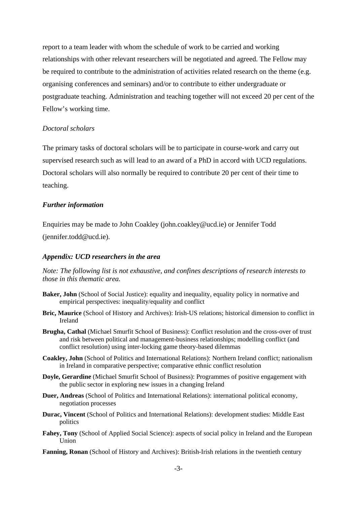report to a team leader with whom the schedule of work to be carried and working relationships with other relevant researchers will be negotiated and agreed. The Fellow may be required to contribute to the administration of activities related research on the theme (e.g. organising conferences and seminars) and/or to contribute to either undergraduate or postgraduate teaching. Administration and teaching together will not exceed 20 per cent of the Fellow's working time.

### *Doctoral scholars*

The primary tasks of doctoral scholars will be to participate in course-work and carry out supervised research such as will lead to an award of a PhD in accord with UCD regulations. Doctoral scholars will also normally be required to contribute 20 per cent of their time to teaching.

## *Further information*

Enquiries may be made to John Coakley (john.coakley@ucd.ie) or Jennifer Todd (jennifer.todd@ucd.ie).

# *Appendix: UCD researchers in the area*

*Note: The following list is not exhaustive, and confines descriptions of research interests to those in this thematic area.* 

- **Baker, John** (School of Social Justice): equality and inequality, equality policy in normative and empirical perspectives: inequality/equality and conflict
- **Bric, Maurice** (School of History and Archives): Irish-US relations; historical dimension to conflict in Ireland
- **Brugha, Cathal** (Michael Smurfit School of Business): Conflict resolution and the cross-over of trust and risk between political and management-business relationships; modelling conflict (and conflict resolution) using inter-locking game theory-based dilemmas
- **Coakley, John** (School of Politics and International Relations): Northern Ireland conflict; nationalism in Ireland in comparative perspective; comparative ethnic conflict resolution
- **Doyle, Gerardine** (Michael Smurfit School of Business): Programmes of positive engagement with the public sector in exploring new issues in a changing Ireland
- **Duer, Andreas** (School of Politics and International Relations): international political economy, negotiation processes
- **Durac, Vincent** (School of Politics and International Relations): development studies: Middle East politics
- **Fahey, Tony** (School of Applied Social Science): aspects of social policy in Ireland and the European Union
- **Fanning, Ronan** (School of History and Archives): British-Irish relations in the twentieth century